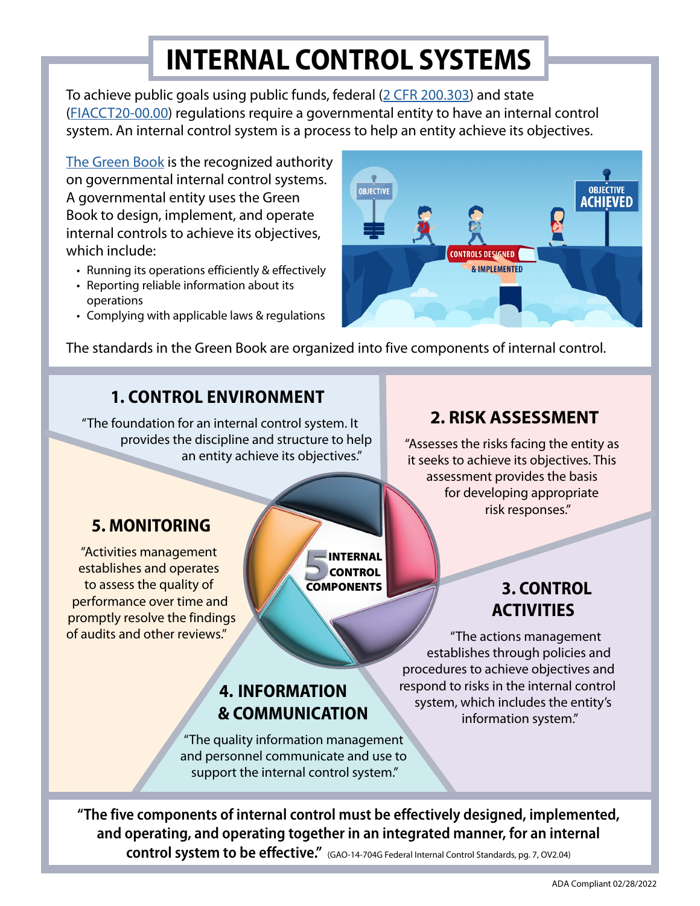## **INTERNAL CONTROL SYSTEMS**

To achieve public goals using public funds, federal [\(2 CFR 200.303\)](https://www.ecfr.gov/current/title-2/subtitle-A/chapter-II/part-200/subpart-D/section-200.303) and state ([FIACCT20-00.00](http://apps.finance.utah.gov/nxt/gateway.dll?f=templates&fn=default.htm&vid=nxtpub:app1)) regulations require a governmental entity to have an internal control system. An internal control system is a process to help an entity achieve its objectives.

[The Green Book](https://www.gao.gov/assets/gao-14-704g.pdf) is the recognized authority on governmental internal control systems. A governmental entity uses the Green Book to design, implement, and operate internal controls to achieve its objectives, which include:

- Running its operations efficiently & effectively
- Reporting reliable information about its operations
- Complying with applicable laws & regulations



The standards in the Green Book are organized into five components of internal control.

### **1. CONTROL ENVIRONMENT**

"The foundation for an internal control system. It provides the discipline and structure to help an entity achieve its objectives."

### **2. RISK ASSESSMENT**

"Assesses the risks facing the entity as it seeks to achieve its objectives. This assessment provides the basis for developing appropriate risk responses."

### **5. MONITORING**

"Activities management establishes and operates to assess the quality of performance over time and promptly resolve the findings of audits and other reviews."

INTERNAL **COMPONENTS CONTROL** 

### **3. CONTROL ACTIVITIES**

"The actions management establishes through policies and procedures to achieve objectives and respond to risks in the internal control system, which includes the entity's information system."

### **4. INFORMATION & COMMUNICATION**

"The quality information management and personnel communicate and use to support the internal control system."

**"The five components of internal control must be effectively designed, implemented, and operating, and operating together in an integrated manner, for an internal control system to be effective."** (GAO-14-704G Federal Internal Control Standards, pg. 7, OV2.04)